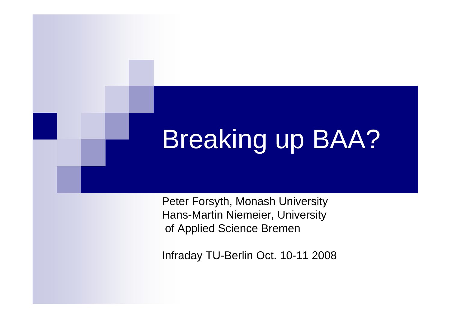# Breaking up BAA?

Peter Forsyth, Monash University Hans-Martin Niemeier, University of Applied Science Bremen

Infraday TU-Berlin Oct. 10-11 2008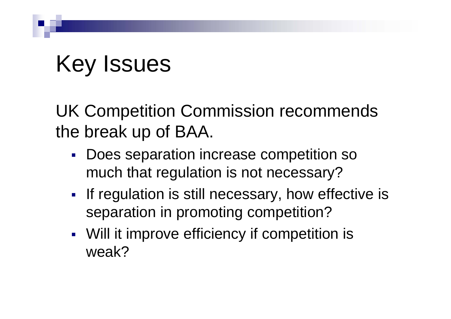## Key Issues

UK Competition Commission recommends the break up of BAA.

- Does separation increase competition so much that regulation is not necessary?
- **If regulation is still necessary, how effective is** separation in promoting competition?
- e. Will it improve efficiency if competition is weak?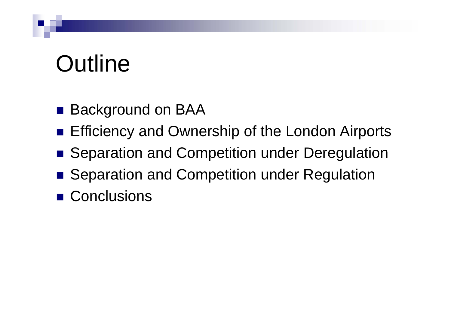# **Outline**

- Background on BAA
- **Efficiency and Ownership of the London Airports**
- Separation and Competition under Deregulation
- Separation and Competition under Regulation
- Conclusions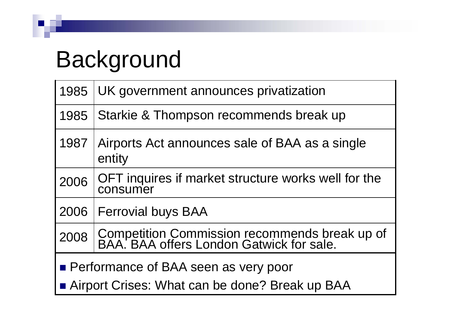## Background

|                                                                                          | 1985   UK government announces privatization                                              |
|------------------------------------------------------------------------------------------|-------------------------------------------------------------------------------------------|
| 1985                                                                                     | Starkie & Thompson recommends break up                                                    |
| 1987                                                                                     | Airports Act announces sale of BAA as a single<br>entity                                  |
| 2006                                                                                     | OFT inquires if market structure works well for the<br>consumer                           |
|                                                                                          | 2006   Ferrovial buys BAA                                                                 |
| 2008                                                                                     | Competition Commission recommends break up of<br>BAA. BAA offers London Gatwick for sale. |
| • Performance of BAA seen as very poor<br>Airport Crises: What can be done? Break up BAA |                                                                                           |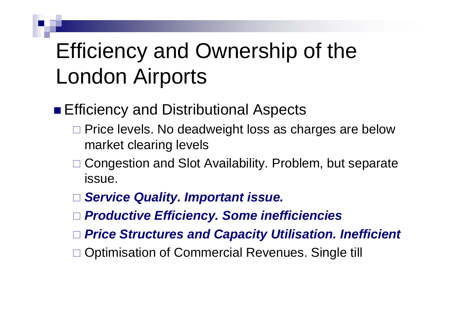### Efficiency and Ownership of the London Airports

**Efficiency and Distributional Aspects** 

- □ Price levels. No deadweight loss as charges are below market clearing levels
- □ Congestion and Slot Availability. Problem, but separate issue.
- $\Box$ *Service Quality. Important issue.*
- $\Box$ *Productive Efficiency. Some inefficiencies*
- *Price Structures and Capacity Utilisation. Inefficient*
- □ Optimisation of Commercial Revenues. Single till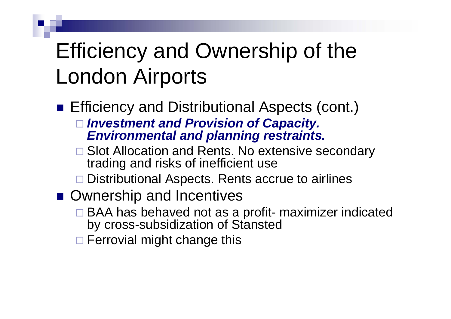### Efficiency and Ownership of the London Airports

- **Efficiency and Distributional Aspects (cont.)**  *Investment and Provision of Capacity. Environmental and planning restraints.*
	- □ Slot Allocation and Rents. No extensive secondary trading and risks of inefficient use
	- □ Distributional Aspects. Rents accrue to airlines
- **Ownership and Incentives** 
	- □ BAA has behaved not as a profit- maximizer indicated by cross-subsidization of Stansted
	- **□ Ferrovial might change this**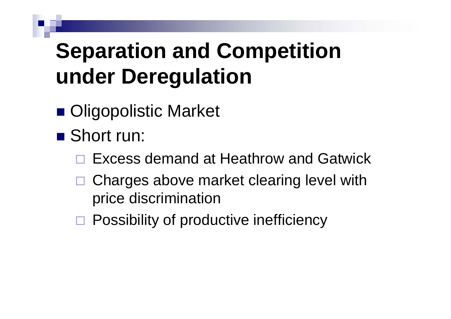## **Separation and Competition under Deregulation**

- **Oligopolistic Market**
- Short run:
	- $\Box$ Excess demand at Heathrow and Gatwick
	- $\Box$  Charges above market clearing level with price discrimination
	- □ Possibility of productive inefficiency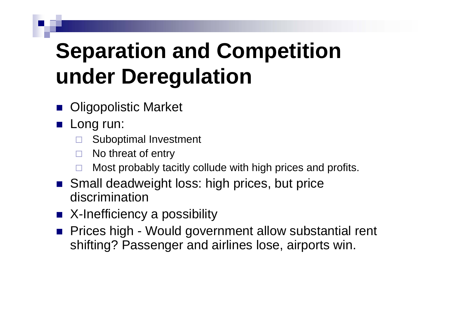## **Separation and Competition under Deregulation**

- **Digopolistic Market**
- **Long run:** 
	- $\Box$ Suboptimal Investment
	- $\Box$ No threat of entry
	- $\Box$ Most probably tacitly collude with high prices and profits.
- Small deadweight loss: high prices, but price discrimination
- X-Inefficiency a possibility
- **Prices high Would government allow substantial rent** shifting? Passenger and airlines lose, airports win.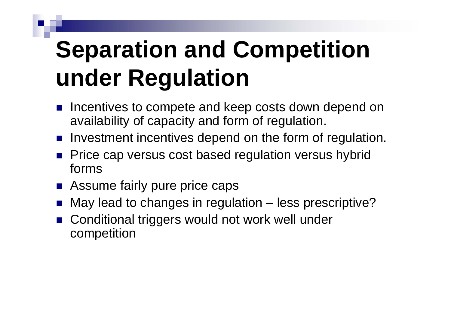# **Separation and Competition under Regulation**

- **If all incentives to compete and keep costs down depend on** availability of capacity and form of regulation.
- **If** Investment incentives depend on the form of regulation.
- **Price cap versus cost based regulation versus hybrid** forms
- **Assume fairly pure price caps**
- Г May lead to changes in regulation – less prescriptive?
- Conditional triggers would not work well under competition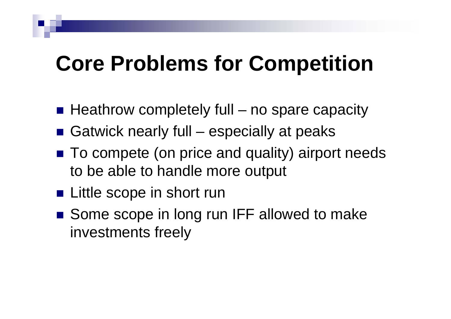#### **Core Problems for Competition**

- $\blacksquare$  Heathrow completely full no spare capacity
- Gatwick nearly full especially at peaks
- To compete (on price and quality) airport needs to be able to handle more output
- **Little scope in short run**
- Some scope in long run IFF allowed to make investments freely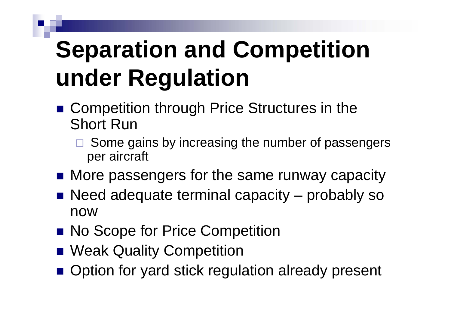# **Separation and Competition under Regulation**

- Competition through Price Structures in the Short Run
	- $\Box$  Some gains by increasing the number of passengers per aircraft
- **Nore passengers for the same runway capacity**
- Need adequate terminal capacity probably so now
- **No Scope for Price Competition**
- **Neak Quality Competition**
- Option for yard stick regulation already present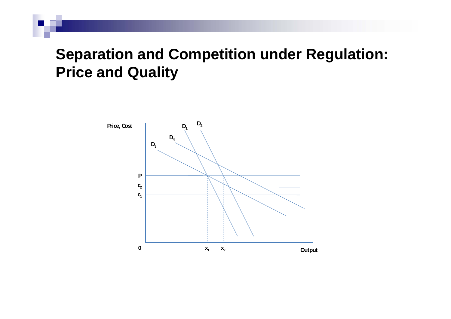#### **Separation and Competition under Regulation: Price and Quality**

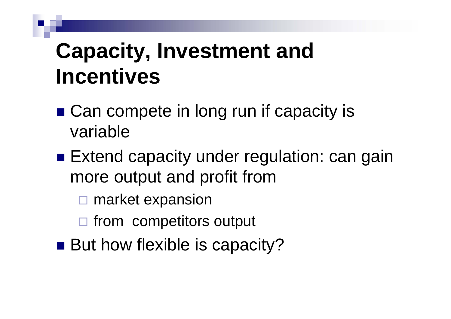### **Capacity, Investment and Incentives**

- Can compete in long run if capacity is variable
- Extend capacity under regulation: can gain more output and profit from
	- $\Box$ market expansion
	- $\Box$  from competitors output
- But how flexible is capacity?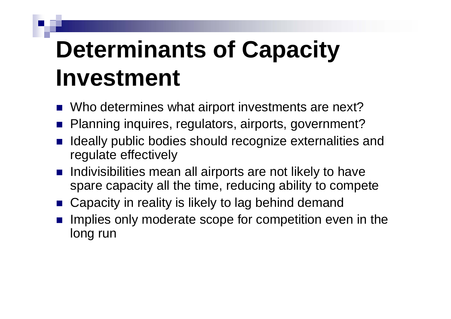# **Determinants of Capacity Investment**

- Who determines what airport investments are next?
- Planning inquires, regulators, airports, government?
- F. Ideally public bodies should recognize externalities and regulate effectively
- **n** Indivisibilities mean all airports are not likely to have spare capacity all the time, reducing ability to compete
- Capacity in reality is likely to lag behind demand
- Г Implies only moderate scope for competition even in the long run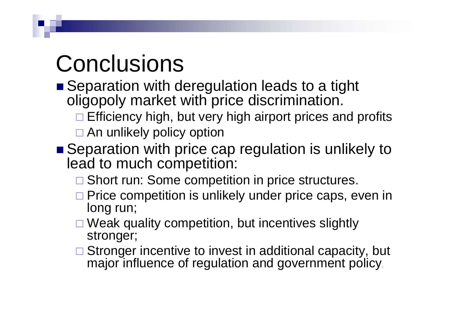# **Conclusions**

- Separation with deregulation leads to a tight oligopoly market with price discrimination.
	- □ Efficiency high, but very high airport prices and profits
	- □ An unlikely policy option
- Separation with price cap regulation is unlikely to lead to much competition:
	- □ Short run: Some competition in price structures.
	- □ Price competition is unlikely under price caps, even in long run;
	- □ Weak quality competition, but incentives slightly stronger;
	- □ Stronger incentive to invest in additional capacity, but major influence of regulation and government policy.